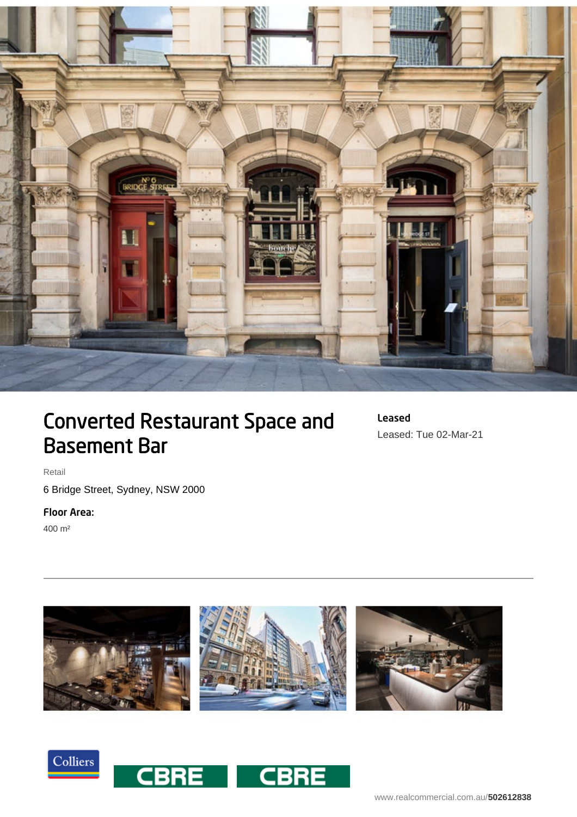

## Converted Restaurant Space and Basement Bar

Leased Leased: Tue 02-Mar-21

Retail

6 Bridge Street, Sydney, NSW 2000

## Floor Area:

400 m²